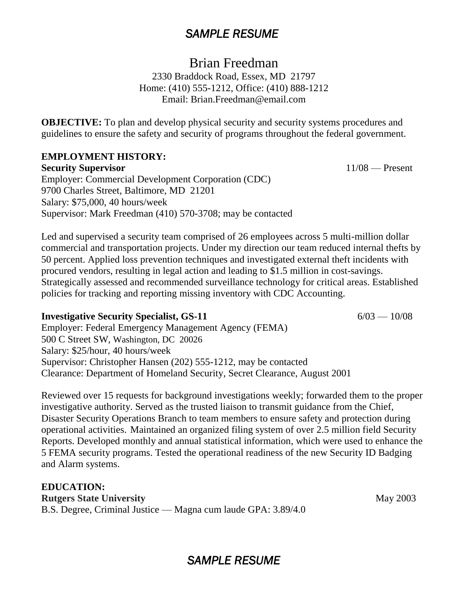# *SAMPLE RESUME*

Brian Freedman

2330 Braddock Road, Essex, MD 21797 Home: (410) 555-1212, Office: (410) 888-1212 Email: Brian.Freedman@email.com

**OBJECTIVE:** To plan and develop physical security and security systems procedures and guidelines to ensure the safety and security of programs throughout the federal government.

### **EMPLOYMENT HISTORY:**

**Security Supervisor** 11/08 — Present Employer: Commercial Development Corporation (CDC) 9700 Charles Street, Baltimore, MD 21201 Salary: \$75,000, 40 hours/week Supervisor: Mark Freedman (410) 570-3708; may be contacted

Led and supervised a security team comprised of 26 employees across 5 multi-million dollar commercial and transportation projects. Under my direction our team reduced internal thefts by 50 percent. Applied loss prevention techniques and investigated external theft incidents with procured vendors, resulting in legal action and leading to \$1.5 million in cost-savings. Strategically assessed and recommended surveillance technology for critical areas. Established policies for tracking and reporting missing inventory with CDC Accounting.

## **Investigative Security Specialist, GS-11** 6/03 — 10/08

Employer: Federal Emergency Management Agency (FEMA) 500 C Street SW, Washington, DC 20026 Salary: \$25/hour, 40 hours/week Supervisor: Christopher Hansen (202) 555-1212, may be contacted Clearance: Department of Homeland Security, Secret Clearance, August 2001

Reviewed over 15 requests for background investigations weekly; forwarded them to the proper investigative authority. Served as the trusted liaison to transmit guidance from the Chief, Disaster Security Operations Branch to team members to ensure safety and protection during operational activities. Maintained an organized filing system of over 2.5 million field Security Reports. Developed monthly and annual statistical information, which were used to enhance the 5 FEMA security programs. Tested the operational readiness of the new Security ID Badging and Alarm systems.

**EDUCATION: Rutgers State University** May 2003 B.S. Degree, Criminal Justice — Magna cum laude GPA: 3.89/4.0

*SAMPLE RESUME*